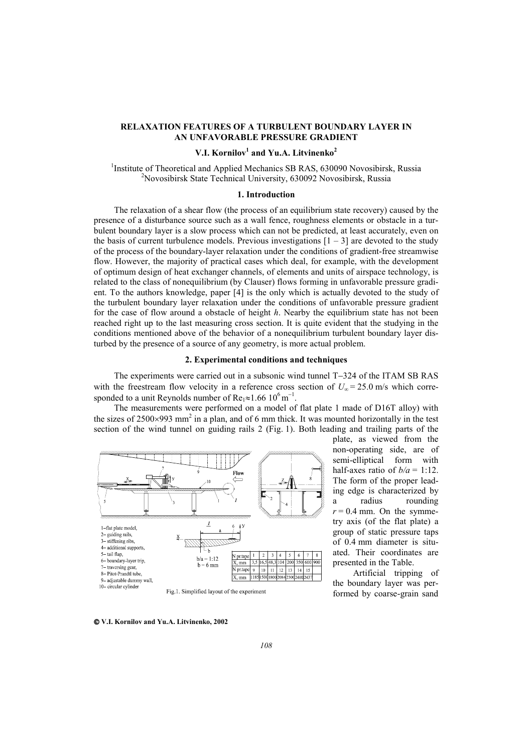## **RELAXATION FEATURES OF A TURBULENT BOUNDARY LAYER IN AN UNFAVORABLE PRESSURE GRADIENT**

# **V.I. Kornilov<sup>1</sup> and Yu.A. Litvinenko<sup>2</sup>**

<sup>1</sup>Institute of Theoretical and Applied Mechanics SB RAS, 630090 Novosibirsk, Russia <sup>2</sup>Novosibirsk, <sup>2</sup>Novosibirsk, <sup>2</sup>Novosibirsk, <sup>2</sup>Novosibirsk, <sup>2</sup>Novosibirsk, <sup>2</sup>Novosibirsk, <sup>2</sup>Novosibirsk, <sup>2</sup>Novosibirsk, <sup>2</sup>Novosi <sup>2</sup>Novosibirsk State Technical University, 630092 Novosibirsk, Russia

## **1. Introduction**

The relaxation of a shear flow (the process of an equilibrium state recovery) caused by the presence of a disturbance source such as a wall fence, roughness elements or obstacle in a turbulent boundary layer is a slow process which can not be predicted, at least accurately, even on the basis of current turbulence models. Previous investigations  $[1 - 3]$  are devoted to the study of the process of the boundary-layer relaxation under the conditions of gradient-free streamwise flow. However, the majority of practical cases which deal, for example, with the development of optimum design of heat exchanger channels, of elements and units of airspace technology, is related to the class of nonequilibrium (by Clauser) flows forming in unfavorable pressure gradient. To the authors knowledge, paper [4] is the only which is actually devoted to the study of the turbulent boundary layer relaxation under the conditions of unfavorable pressure gradient for the case of flow around a obstacle of height *h*. Nearby the equilibrium state has not been reached right up to the last measuring cross section. It is quite evident that the studying in the conditions mentioned above of the behavior of a nonequilibrium turbulent boundary layer disturbed by the presence of a source of any geometry, is more actual problem.

## **2. Experimental conditions and techniques**

The experiments were carried out in a subsonic wind tunnel T−324 of the ITAM SB RAS with the freestream flow velocity in a reference cross section of  $U_{\infty} = 25.0$  m/s which corresponded to a unit Reynolds number of Re<sub>1</sub>≈1.66  $10^6$  m<sup>-1</sup>.

The measurements were performed on a model of flat plate 1 made of D16T alloy) with the sizes of  $2500 \times 993$  mm<sup>2</sup> in a plan, and of 6 mm thick. It was mounted horizontally in the test section of the wind tunnel on guiding rails 2 (Fig. 1). Both leading and trailing parts of the



plate, as viewed from the non-operating side, are of semi-elliptical form with half-axes ratio of  $b/a = 1:12$ . The form of the proper leading edge is characterized by a radius rounding  $r = 0.4$  mm. On the symmetry axis (of the flat plate) a group of static pressure taps of 0.4 mm diameter is situated. Their coordinates are presented in the Table.

Artificial tripping of the boundary layer was performed by coarse-grain sand

 **V.I. Kornilov and Yu.A. Litvinenko, 2002**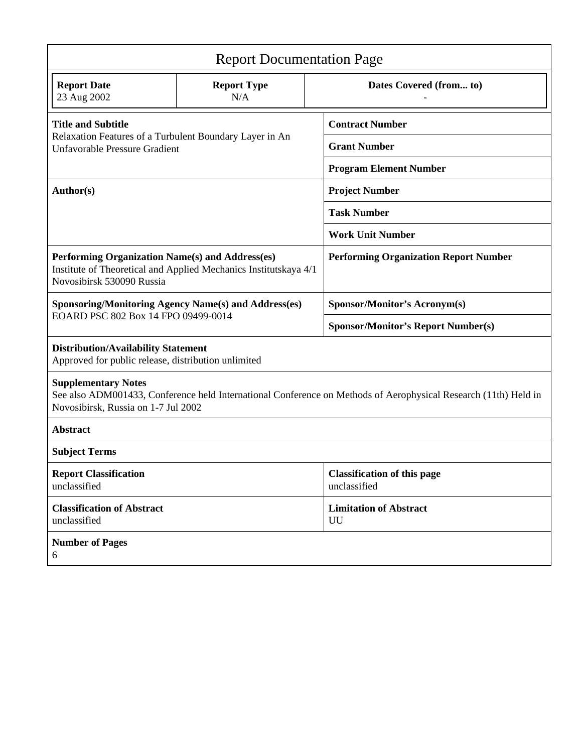| <b>Report Documentation Page</b>                                                                                                                                                     |                           |                                                    |
|--------------------------------------------------------------------------------------------------------------------------------------------------------------------------------------|---------------------------|----------------------------------------------------|
| <b>Report Date</b><br>23 Aug 2002                                                                                                                                                    | <b>Report Type</b><br>N/A | Dates Covered (from to)                            |
| <b>Title and Subtitle</b><br>Relaxation Features of a Turbulent Boundary Layer in An<br><b>Unfavorable Pressure Gradient</b>                                                         |                           | <b>Contract Number</b>                             |
|                                                                                                                                                                                      |                           | <b>Grant Number</b>                                |
|                                                                                                                                                                                      |                           | <b>Program Element Number</b>                      |
| Author(s)                                                                                                                                                                            |                           | <b>Project Number</b>                              |
|                                                                                                                                                                                      |                           | <b>Task Number</b>                                 |
|                                                                                                                                                                                      |                           | <b>Work Unit Number</b>                            |
| Performing Organization Name(s) and Address(es)<br>Institute of Theoretical and Applied Mechanics Institutskaya 4/1<br>Novosibirsk 530090 Russia                                     |                           | <b>Performing Organization Report Number</b>       |
| <b>Sponsoring/Monitoring Agency Name(s) and Address(es)</b><br>EOARD PSC 802 Box 14 FPO 09499-0014                                                                                   |                           | <b>Sponsor/Monitor's Acronym(s)</b>                |
|                                                                                                                                                                                      |                           | <b>Sponsor/Monitor's Report Number(s)</b>          |
| <b>Distribution/Availability Statement</b><br>Approved for public release, distribution unlimited                                                                                    |                           |                                                    |
| <b>Supplementary Notes</b><br>See also ADM001433, Conference held International Conference on Methods of Aerophysical Research (11th) Held in<br>Novosibirsk, Russia on 1-7 Jul 2002 |                           |                                                    |
| <b>Abstract</b>                                                                                                                                                                      |                           |                                                    |
| <b>Subject Terms</b>                                                                                                                                                                 |                           |                                                    |
| <b>Report Classification</b><br>unclassified                                                                                                                                         |                           | <b>Classification of this page</b><br>unclassified |
| <b>Classification of Abstract</b><br>unclassified                                                                                                                                    |                           | <b>Limitation of Abstract</b><br>UU                |
| <b>Number of Pages</b><br>6                                                                                                                                                          |                           |                                                    |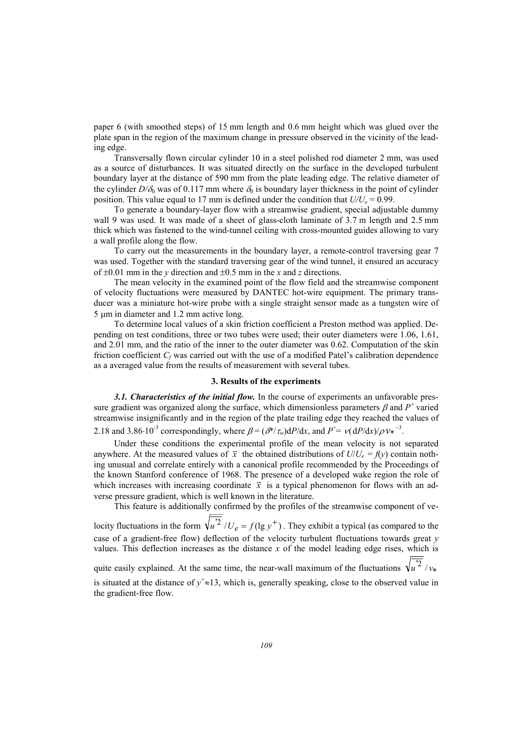paper 6 (with smoothed steps) of 15 mm length and 0.6 mm height which was glued over the plate span in the region of the maximum change in pressure observed in the vicinity of the leading edge.

Transversally flown circular cylinder 10 in a steel polished rod diameter 2 mm, was used as a source of disturbances. It was situated directly on the surface in the developed turbulent boundary layer at the distance of 590 mm from the plate leading edge. The relative diameter of the cylinder  $D/\delta_0$  was of 0.117 mm where  $\delta_0$  is boundary layer thickness in the point of cylinder position. This value equal to 17 mm is defined under the condition that  $U/U_e = 0.99$ .

To generate a boundary-layer flow with a streamwise gradient, special adjustable dummy wall 9 was used. It was made of a sheet of glass-cloth laminate of 3.7 m length and 2.5 mm thick which was fastened to the wind-tunnel ceiling with cross-mounted guides allowing to vary a wall profile along the flow.

To carry out the measurements in the boundary layer, a remote-control traversing gear 7 was used. Together with the standard traversing gear of the wind tunnel, it ensured an accuracy of ±0.01 mm in the *у* direction and ±0.5 mm in the *x* and *z* directions.

The mean velocity in the examined point of the flow field and the streamwise component of velocity fluctuations were measured by DANTEC hot-wire equipment. The primary transducer was a miniature hot-wire probe with a single straight sensor made as a tungsten wire of 5 µm in diameter and 1.2 mm active long.

To determine local values of a skin friction coefficient a Preston method was applied. Depending on test conditions, three or two tubes were used; their outer diameters were 1.06, 1.61, and 2.01 mm, and the ratio of the inner to the outer diameter was 0.62. Computation of the skin friction coefficient *Cf* was carried out with the use of a modified Patel's calibration dependence as a averaged value from the results of measurement with several tubes.

## **3. Results of the experiments**

*3.1. Characteristics of the initial flow.* In the course of experiments an unfavorable pressure gradient was organized along the surface, which dimensionless parameters  $\beta$  and  $P^+$  varied streamwise insignificantly and in the region of the plate trailing edge they reached the values of 2.18 and 3.86⋅10<sup>-3</sup> correspondingly, where  $\beta = (\partial^*/\tau_w)dP/dx$ , and  $P^+ = \nu(dP/dx)/\rho v_*^{-3}$ .

Under these conditions the experimental profile of the mean velocity is not separated anywhere. At the measured values of  $\bar{x}$  the obtained distributions of  $U/U_e = f(y)$  contain nothing unusual and correlate entirely with a canonical profile recommended by the Proceedings of the known Stanford conference of 1968. The presence of a developed wake region the role of which increases with increasing coordinate  $\bar{x}$  is a typical phenomenon for flows with an adverse pressure gradient, which is well known in the literature.

This feature is additionally confirmed by the profiles of the streamwise component of velocity fluctuations in the form  $\sqrt{u^2}/U_e = f(\lg y^+)$ . They exhibit a typical (as compared to the case of a gradient-free flow) deflection of the velocity turbulent fluctuations towards great *y* values. This deflection increases as the distance *x* of the model leading edge rises, which is quite easily explained. At the same time, the near-wall maximum of the fluctuations  $\sqrt{u^2}/v_*$ is situated at the distance of  $y^+ \approx 13$ , which is, generally speaking, close to the observed value in the gradient-free flow.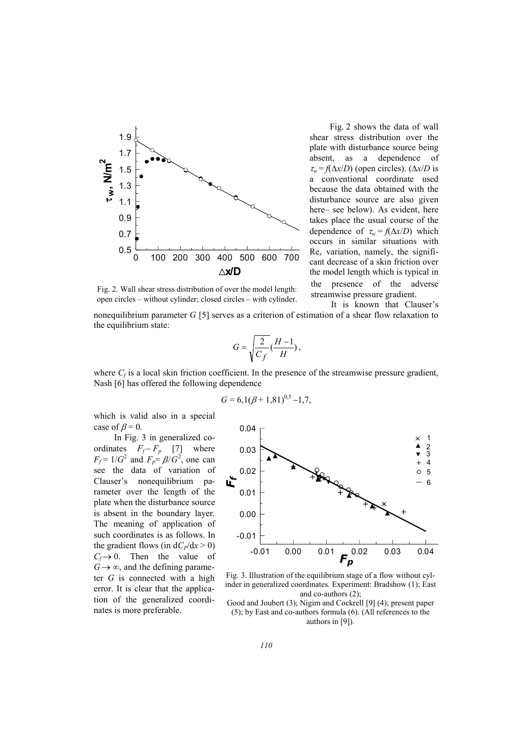

Fig. 2 shows the data of wall shear stress distribution over the plate with disturbance source being absent, as a dependence of  $\tau_w = f(\Delta x/D)$  (open circles). ( $\Delta x/D$  is a conventional coordinate used because the data obtained with the disturbance source are also given here– see below). As evident, here takes place the usual course of the dependence of  $\tau_w = f(\Delta x/D)$  which occurs in similar situations with Re*x* variation, namely, the significant decrease of a skin friction over the model length which is typical in the presence of the adverse streamwise pressure gradient.

It is known that Clauser's

Fig. 2. Wall shear stress distribution of over the model length: open circles – without cylinder; closed circles – with cylinder.

nonequilibrium parameter *G* [5] serves as a criterion of estimation of a shear flow relaxation to the equilibrium state:

$$
G = \sqrt{\frac{2}{C_f}} \left( \frac{H - 1}{H} \right),
$$

where  $C_f$  is a local skin friction coefficient. In the presence of the streamwise pressure gradient, Nash [6] has offered the following dependence

$$
G = 6{,}1(\beta + 1{,}81)^{0.5} - 1{,}7,
$$

which is valid also in a special case of  $\beta = 0$ .

In Fig. 3 in generalized coordinates  $F_f - F_p$  [7] where  $F_f = 1/G^2$  and  $F_p = \beta/G^2$ , one can see the data of variation of Clauser's nonequilibrium parameter over the length of the plate when the disturbance source is absent in the boundary layer. The meaning of application of such coordinates is as follows. In the gradient flows (in  $dC_P/dx > 0$ )  $C_f \rightarrow 0$ . Then the value of  $G \rightarrow \infty$ , and the defining parameter *G* is connected with a high error. It is clear that the application of the generalized coordinates is more preferable.



Fig. 3. Illustration of the equilibrium stage of a flow without cylinder in generalized coordinates. Experiment: Bradshow (1); East and co-authors (2);

Good and Joubert (3); Nigim and Cockrell [9] (4); present paper (5); by East and co-authors formula (6). (All references to the authors in [9]).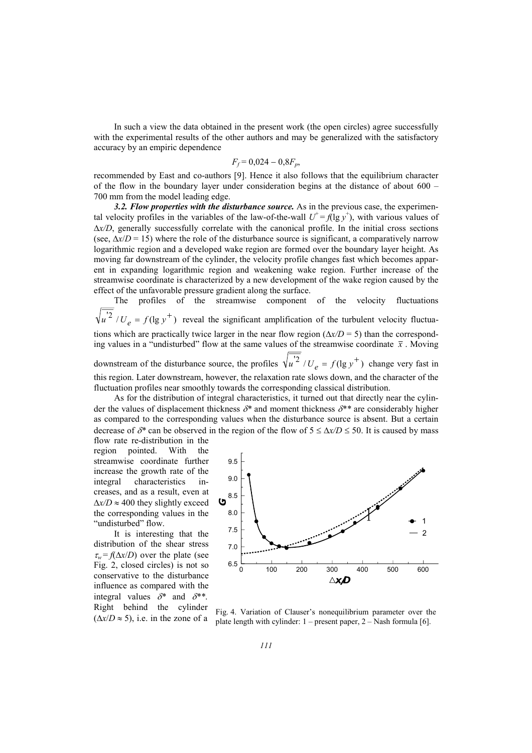In such a view the data obtained in the present work (the open circles) agree successfully with the experimental results of the other authors and may be generalized with the satisfactory accuracy by an empiric dependence

$$
F_f = 0.024 - 0.8F_p,
$$

recommended by East and co-authors [9]. Hence it also follows that the equilibrium character of the flow in the boundary layer under consideration begins at the distance of about 600 – 700 mm from the model leading edge.

*3.2. Flow properties with the disturbance source.* As in the previous case, the experimental velocity profiles in the variables of the law-of-the-wall  $U^+ = f(\lg y^+)$ , with various values of ∆*x/D*, generally successfully correlate with the canonical profile. In the initial cross sections (see,  $\Delta x/D = 15$ ) where the role of the disturbance source is significant, a comparatively narrow logarithmic region and a developed wake region are formed over the boundary layer height. As moving far downstream of the cylinder, the velocity profile changes fast which becomes apparent in expanding logarithmic region and weakening wake region. Further increase of the streamwise coordinate is characterized by a new development of the wake region caused by the effect of the unfavorable pressure gradient along the surface.

The profiles of the streamwise component of the velocity fluctuations  $u^2 / U_e = f(\lg y^+)$  reveal the significant amplification of the turbulent velocity fluctuations which are practically twice larger in the near flow region (∆*x/D* = 5) than the corresponding values in a "undisturbed" flow at the same values of the streamwise coordinate  $\bar{x}$ . Moving downstream of the disturbance source, the profiles  $\sqrt{u^2}/U_e = f(\lg y^+)$  change very fast in this region. Later downstream, however, the relaxation rate slows down, and the character of the fluctuation profiles near smoothly towards the corresponding classical distribution.

As for the distribution of integral characteristics, it turned out that directly near the cylinder the values of displacement thickness δ*\** and moment thickness δ*\*\** are considerably higher as compared to the corresponding values when the disturbance source is absent. But a certain decrease of  $\delta^*$  can be observed in the region of the flow of  $5 \leq \Delta x/D \leq 50$ . It is caused by mass

flow rate re-distribution in the region pointed. With the streamwise coordinate further increase the growth rate of the integral characteristics increases, and as a result, even at ∆*x/D* ≈ 400 they slightly exceed the corresponding values in the "undisturbed" flow.

It is interesting that the distribution of the shear stress  $\tau_w = f(\Delta x/D)$  over the plate (see Fig. 2, closed circles) is not so conservative to the disturbance influence as compared with the integral values δ*\** and δ*\*\**. Right behind the cylinder



 $(\Delta x/D \approx 5)$ , i.e. in the zone of a **Fig. 4.** Variation of Clauser's nonequilibrium parameter over the  $(\Delta x/D \approx 5)$ , i.e. in the zone of a plate length with ordinary 1 present paper 2. Nech formula [6] plate length with cylinder:  $1$  – present paper,  $2$  – Nash formula [6].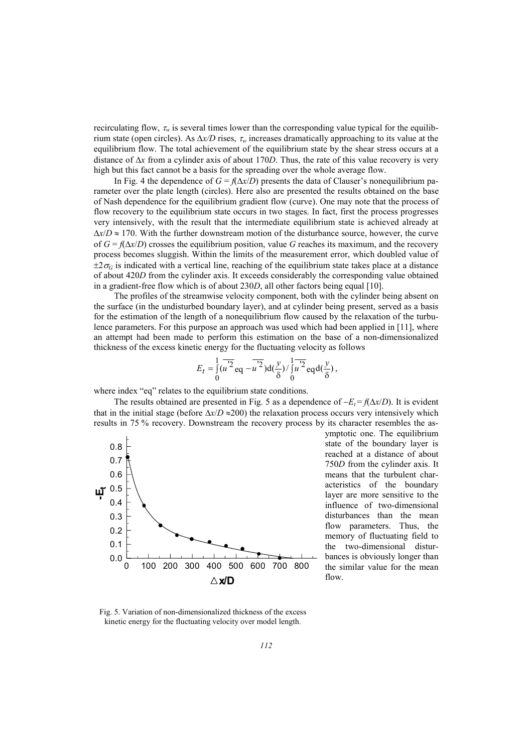recirculating flow,  $\tau_w$  is several times lower than the corresponding value typical for the equilibrium state (open circles). As ∆*x/D* rises, <sup>τ</sup>*w* increases dramatically approaching to its value at the equilibrium flow. The total achievement of the equilibrium state by the shear stress occurs at a distance of ∆*x* from a cylinder axis of about 170*D*. Thus, the rate of this value recovery is very high but this fact cannot be a basis for the spreading over the whole average flow.

In Fig. 4 the dependence of  $G = f(\Delta x/D)$  presents the data of Clauser's nonequilibrium parameter over the plate length (circles). Here also are presented the results obtained on the base of Nash dependence for the equilibrium gradient flow (curve). One may note that the process of flow recovery to the equilibrium state occurs in two stages. In fact, first the process progresses very intensively, with the result that the intermediate equilibrium state is achieved already at ∆*х*/*D* ≈ 170. With the further downstream motion of the disturbance source, however, the curve of  $G = f(\Delta x/D)$  crosses the equilibrium position, value G reaches its maximum, and the recovery process becomes sluggish. Within the limits of the measurement error, which doubled value of  $\pm 2\sigma$ <sup>G</sup> is indicated with a vertical line, reaching of the equilibrium state takes place at a distance of about 420*D* from the cylinder axis. It exceeds considerably the corresponding value obtained in a gradient-free flow which is of about 230*D*, all other factors being equal [10].

The profiles of the streamwise velocity component, both with the cylinder being absent on the surface (in the undisturbed boundary layer), and at cylinder being present, served as a basis for the estimation of the length of a nonequilibrium flow caused by the relaxation of the turbulence parameters. For this purpose an approach was used which had been applied in [11], where an attempt had been made to perform this estimation on the base of a non-dimensionalized thickness of the excess kinetic energy for the fluctuating velocity as follows

$$
E_t = \int_0^1 (u^{'2} \, \text{eq} - u^{'2}) \, \text{d}(\frac{y}{\delta}) / \int_0^1 u^{'2} \, \text{eq} \, \text{d}(\frac{y}{\delta}),
$$

where index "eq" relates to the equilibrium state conditions.

The results obtained are presented in Fig. 5 as a dependence of  $-E_t = f(\Delta x/D)$ . It is evident that in the initial stage (before ∆*x*/*D* ≈200) the relaxation process occurs very intensively which results in 75 % recovery. Downstream the recovery process by its character resembles the as-



ymptotic one. The equilibrium state of the boundary layer is reached at a distance of about 750*D* from the cylinder axis. It means that the turbulent characteristics of the boundary layer are more sensitive to the influence of two-dimensional disturbances than the mean flow parameters. Thus, the memory of fluctuating field to the two-dimensional disturbances is obviously longer than the similar value for the mean flow.

Fig. 5. Variation of non-dimensionalized thickness of the excess kinetic energy for the fluctuating velocity over model length.